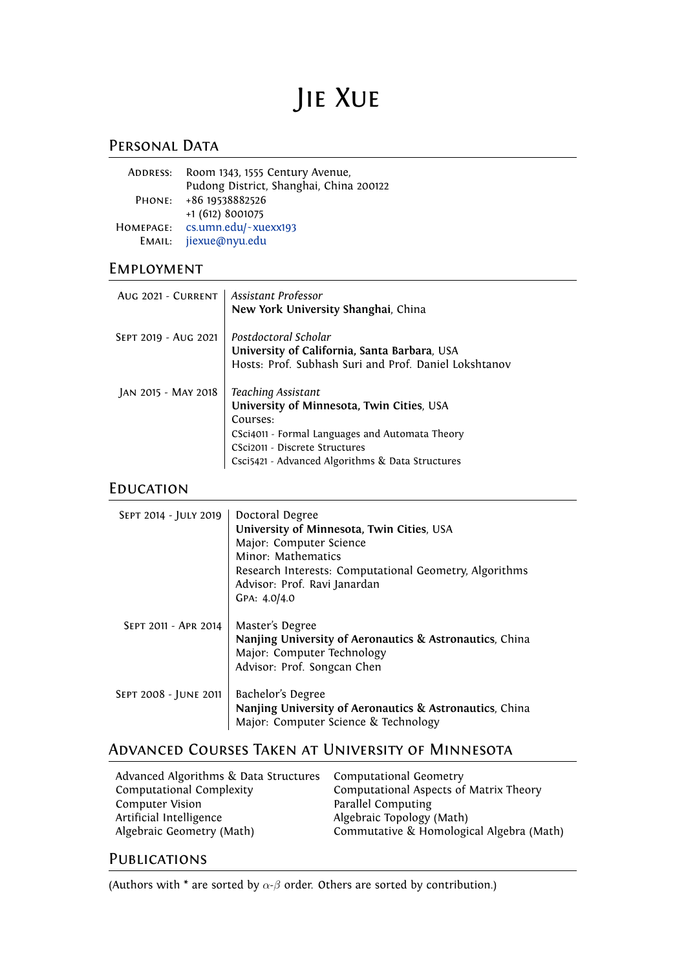# Jie Xue

# PERSONAL DATA

| ADDRESS:            | Room 1343, 1555 Century Avenue,<br>Pudong District, Shanghai, China 200122 |
|---------------------|----------------------------------------------------------------------------|
| PHONE:              | +86 19538882526<br>+1 (612) 8001075                                        |
| HOMEPAGE:<br>EMAIL: | cs.umn.edu/~xuexx193<br>jiexue@nyu.edu                                     |

# Employment

| AUG 2021 - CURRENT   Assistant Professor | New York University Shanghai, China                                                                                                                                                                                  |
|------------------------------------------|----------------------------------------------------------------------------------------------------------------------------------------------------------------------------------------------------------------------|
| SEPT 2019 - AUG 2021                     | Postdoctoral Scholar<br>University of California, Santa Barbara, USA<br>Hosts: Prof. Subhash Suri and Prof. Daniel Lokshtanov                                                                                        |
| JAN 2015 - MAY 2018                      | Teaching Assistant<br>University of Minnesota, Twin Cities, USA<br>Courses:<br>CSci4011 - Formal Languages and Automata Theory<br>CSci2011 - Discrete Structures<br>Csci5421 - Advanced Algorithms & Data Structures |

# **EDUCATION**

| SEPT 2014 - JULY 2019 | Doctoral Degree<br>University of Minnesota, Twin Cities, USA<br>Major: Computer Science<br>Minor: Mathematics<br>Research Interests: Computational Geometry, Algorithms<br>Advisor: Prof. Ravi Janardan<br>GPA: 4.0/4.0 |
|-----------------------|-------------------------------------------------------------------------------------------------------------------------------------------------------------------------------------------------------------------------|
| SEPT 2011 - APR 2014  | Master's Degree<br>Nanjing University of Aeronautics & Astronautics, China<br>Major: Computer Technology<br>Advisor: Prof. Songcan Chen                                                                                 |
| SEPT 2008 - JUNE 2011 | Bachelor's Degree<br>Nanjing University of Aeronautics & Astronautics, China<br>Major: Computer Science & Technology                                                                                                    |

# Advanced Courses Taken at University of Minnesota

| Advanced Algorithms & Data Structures | Computational Geometry                   |
|---------------------------------------|------------------------------------------|
| Computational Complexity              | Computational Aspects of Matrix Theory   |
| <b>Computer Vision</b>                | Parallel Computing                       |
| Artificial Intelligence               | Algebraic Topology (Math)                |
| Algebraic Geometry (Math)             | Commutative & Homological Algebra (Math) |
|                                       |                                          |

# **PUBLICATIONS**

(Authors with \* are sorted by *α*-*β* order. Others are sorted by contribution.)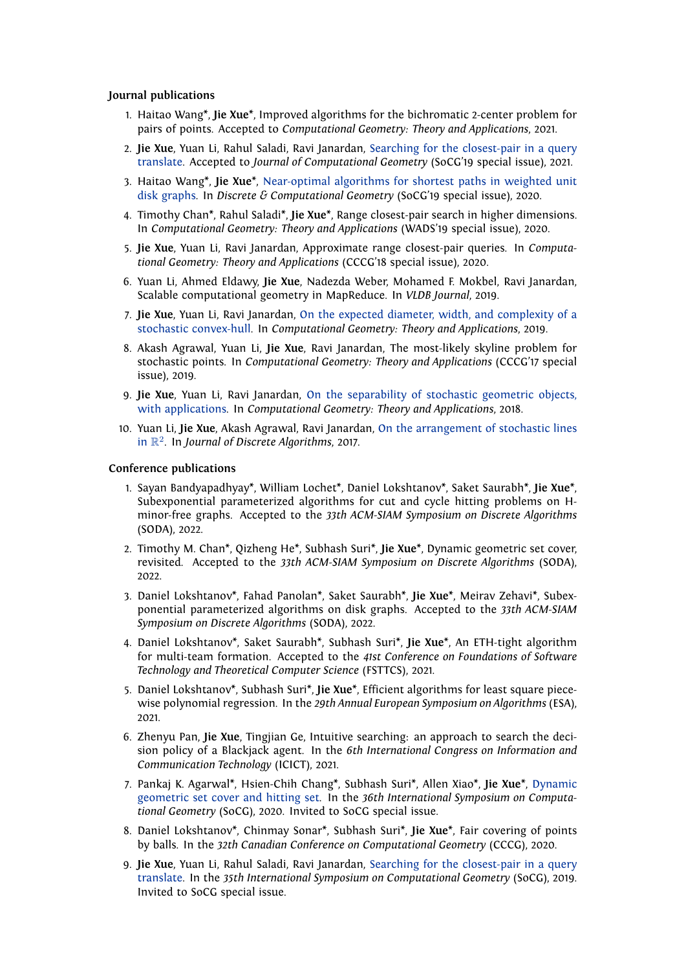#### **Journal publications**

- 1. Haitao Wang\*, **Jie Xue**\*, Improved algorithms for the bichromatic 2-center problem for pairs of points. Accepted to *Computational Geometry: Theory and Applications*, 2021.
- 2. **Jie Xue**, Yuan Li, Rahul Saladi, Ravi Janardan, [Searching for the closest-pair in a query](https://arxiv.org/pdf/1807.09498.pdf) [translate](https://arxiv.org/pdf/1807.09498.pdf). Accepted to *Journal of Computational Geometry* (SoCG'19 special issue), 2021.
- 3. Haitao Wang\*, **Jie Xue**\*, [Near-optimal algorithms for shortest paths in weighted unit](https://arxiv.org/pdf/1903.05255.pdf) [disk graphs](https://arxiv.org/pdf/1903.05255.pdf). In *Discrete & Computational Geometry* (SoCG'19 special issue), 2020.
- 4. Timothy Chan\*, Rahul Saladi\*, **Jie Xue**\*, Range closest-pair search in higher dimensions. In *Computational Geometry: Theory and Applications* (WADS'19 special issue), 2020.
- 5. **Jie Xue**, Yuan Li, Ravi Janardan, Approximate range closest-pair queries. In *Computational Geometry: Theory and Applications* (CCCG'18 special issue), 2020.
- 6. Yuan Li, Ahmed Eldawy, **Jie Xue**, Nadezda Weber, Mohamed F. Mokbel, Ravi Janardan, Scalable computational geometry in MapReduce. In *VLDB Journal*, 2019.
- 7. **Jie Xue**, Yuan Li, Ravi Janardan, [On the expected diameter, width, and complexity of a](https://arxiv.org/pdf/1704.07028.pdf) [stochastic convex-hull.](https://arxiv.org/pdf/1704.07028.pdf) In *Computational Geometry: Theory and Applications*, 2019.
- 8. Akash Agrawal, Yuan Li, **Jie Xue**, Ravi Janardan, The most-likely skyline problem for stochastic points. In *Computational Geometry: Theory and Applications* (CCCG'17 special issue), 2019.
- 9. **Jie Xue**, Yuan Li, Ravi Janardan, [On the separability of stochastic geometric objects,](https://arxiv.org/pdf/1603.07021.pdf) [with applications.](https://arxiv.org/pdf/1603.07021.pdf) In *Computational Geometry: Theory and Applications*, 2018.
- 10. Yuan Li, **Jie Xue**, Akash Agrawal, Ravi Janardan, [On the arrangement of stochastic lines](https://drive.google.com/file/d/0B0bgyjRKhNdVaWswWmRXXzU0NFE/view?usp=sharing) [in](https://drive.google.com/file/d/0B0bgyjRKhNdVaWswWmRXXzU0NFE/view?usp=sharing) R 2 . In *Journal of Discrete Algorithms*, 2017.

#### **Conference publications**

- 1. Sayan Bandyapadhyay\*, William Lochet\*, Daniel Lokshtanov\*, Saket Saurabh\*, **Jie Xue**\*, Subexponential parameterized algorithms for cut and cycle hitting problems on Hminor-free graphs. Accepted to the *33th ACM-SIAM Symposium on Discrete Algorithms* (SODA), 2022.
- 2. Timothy M. Chan\*, Qizheng He\*, Subhash Suri\*, **Jie Xue**\*, Dynamic geometric set cover, revisited. Accepted to the *33th ACM-SIAM Symposium on Discrete Algorithms* (SODA), 2022.
- 3. Daniel Lokshtanov\*, Fahad Panolan\*, Saket Saurabh\*, **Jie Xue**\*, Meirav Zehavi\*, Subexponential parameterized algorithms on disk graphs. Accepted to the *33th ACM-SIAM Symposium on Discrete Algorithms* (SODA), 2022.
- 4. Daniel Lokshtanov\*, Saket Saurabh\*, Subhash Suri\*, **Jie Xue**\*, An ETH-tight algorithm for multi-team formation. Accepted to the *41st Conference on Foundations of Software Technology and Theoretical Computer Science* (FSTTCS), 2021.
- 5. Daniel Lokshtanov\*, Subhash Suri\*, **Jie Xue**\*, Efficient algorithms for least square piecewise polynomial regression. In the *29th Annual European Symposium on Algorithms* (ESA), 2021.
- 6. Zhenyu Pan, **Jie Xue**, Tingjian Ge, Intuitive searching: an approach to search the decision policy of a Blackjack agent. In the *6th International Congress on Information and Communication Technology* (ICICT), 2021.
- 7. Pankaj K. Agarwal\*, Hsien-Chih Chang\*, Subhash Suri\*, Allen Xiao\*, **Jie Xue**\*, [Dynamic](https://arxiv.org/pdf/2003.00202.pdf) [geometric set cover and hitting set](https://arxiv.org/pdf/2003.00202.pdf). In the *36th International Symposium on Computational Geometry* (SoCG), 2020. Invited to SoCG special issue.
- 8. Daniel Lokshtanov\*, Chinmay Sonar\*, Subhash Suri\*, **Jie Xue**\*, Fair covering of points by balls. In the *32th Canadian Conference on Computational Geometry* (CCCG), 2020.
- 9. **Jie Xue**, Yuan Li, Rahul Saladi, Ravi Janardan, [Searching for the closest-pair in a query](https://arxiv.org/pdf/1807.09498.pdf) [translate](https://arxiv.org/pdf/1807.09498.pdf). In the *35th International Symposium on Computational Geometry* (SoCG), 2019. Invited to SoCG special issue.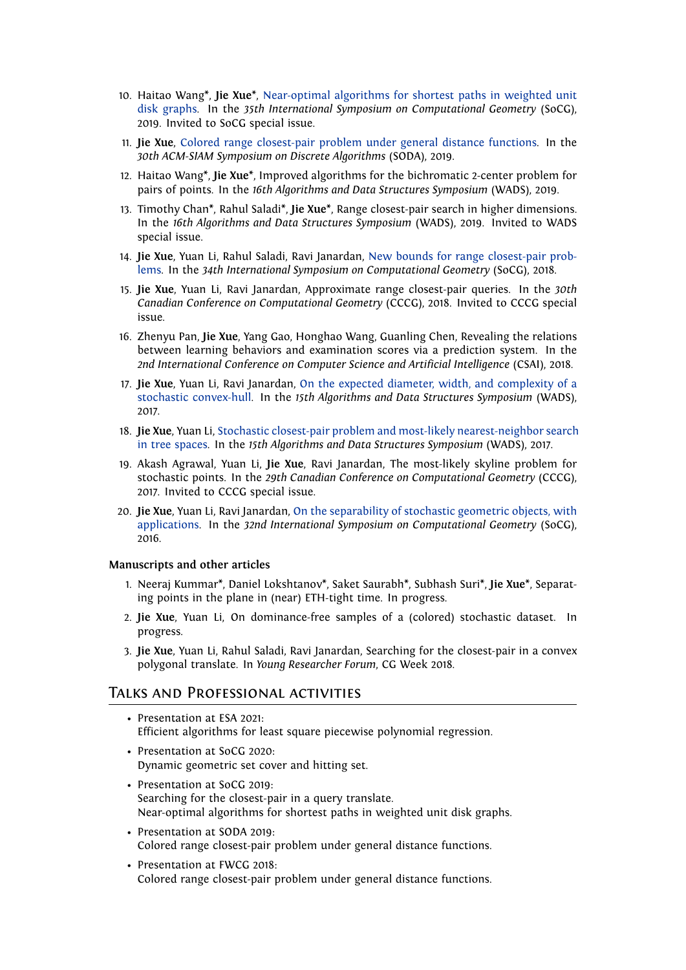- 10. Haitao Wang\*, **Jie Xue**\*, [Near-optimal algorithms for shortest paths in weighted unit](https://arxiv.org/pdf/1903.05255.pdf) [disk graphs](https://arxiv.org/pdf/1903.05255.pdf). In the *35th International Symposium on Computational Geometry* (SoCG), 2019. Invited to SoCG special issue.
- 11. **Jie Xue**, [Colored range closest-pair problem under general distance functions.](https://arxiv.org/pdf/1807.09977.pdf) In the *30th ACM-SIAM Symposium on Discrete Algorithms* (SODA), 2019.
- 12. Haitao Wang\*, **Jie Xue**\*, Improved algorithms for the bichromatic 2-center problem for pairs of points. In the *16th Algorithms and Data Structures Symposium* (WADS), 2019.
- 13. Timothy Chan\*, Rahul Saladi\*, **Jie Xue**\*, Range closest-pair search in higher dimensions. In the *16th Algorithms and Data Structures Symposium* (WADS), 2019. Invited to WADS special issue.
- 14. **Jie Xue**, Yuan Li, Rahul Saladi, Ravi Janardan, [New bounds for range closest-pair prob](https://arxiv.org/pdf/1712.09749.pdf)[lems](https://arxiv.org/pdf/1712.09749.pdf). In the *34th International Symposium on Computational Geometry* (SoCG), 2018.
- 15. **Jie Xue**, Yuan Li, Ravi Janardan, Approximate range closest-pair queries. In the *30th Canadian Conference on Computational Geometry* (CCCG), 2018. Invited to CCCG special issue.
- 16. Zhenyu Pan, **Jie Xue**, Yang Gao, Honghao Wang, Guanling Chen, Revealing the relations between learning behaviors and examination scores via a prediction system. In the *2nd International Conference on Computer Science and Artificial Intelligence* (CSAI), 2018.
- 17. **Jie Xue**, Yuan Li, Ravi Janardan, [On the expected diameter, width, and complexity of a](https://arxiv.org/pdf/1704.07028.pdf) [stochastic convex-hull](https://arxiv.org/pdf/1704.07028.pdf). In the *15th Algorithms and Data Structures Symposium* (WADS), 2017.
- 18. **Jie Xue**, Yuan Li, [Stochastic closest-pair problem and most-likely nearest-neighbor search](https://arxiv.org/pdf/1612.04890.pdf) [in tree spaces](https://arxiv.org/pdf/1612.04890.pdf). In the *15th Algorithms and Data Structures Symposium* (WADS), 2017.
- 19. Akash Agrawal, Yuan Li, **Jie Xue**, Ravi Janardan, The most-likely skyline problem for stochastic points. In the *29th Canadian Conference on Computational Geometry* (CCCG), 2017. Invited to CCCG special issue.
- 20. **Jie Xue**, Yuan Li, Ravi Janardan, [On the separability of stochastic geometric objects, with](https://arxiv.org/pdf/1603.07021.pdf) [applications.](https://arxiv.org/pdf/1603.07021.pdf) In the *32nd International Symposium on Computational Geometry* (SoCG), 2016.

#### **Manuscripts and other articles**

- 1. Neeraj Kummar\*, Daniel Lokshtanov\*, Saket Saurabh\*, Subhash Suri\*, **Jie Xue**\*, Separating points in the plane in (near) ETH-tight time. In progress.
- 2. **Jie Xue**, Yuan Li, On dominance-free samples of a (colored) stochastic dataset. In progress.
- 3. **Jie Xue**, Yuan Li, Rahul Saladi, Ravi Janardan, Searching for the closest-pair in a convex polygonal translate. In *Young Researcher Forum*, CG Week 2018.

## Talks and Professional activities

- Presentation at ESA 2021: Efficient algorithms for least square piecewise polynomial regression.
- Presentation at SoCG 2020: Dynamic geometric set cover and hitting set.
- Presentation at SoCG 2019: Searching for the closest-pair in a query translate. Near-optimal algorithms for shortest paths in weighted unit disk graphs.
- Presentation at SODA 2019: Colored range closest-pair problem under general distance functions.
- Presentation at FWCG 2018: Colored range closest-pair problem under general distance functions.